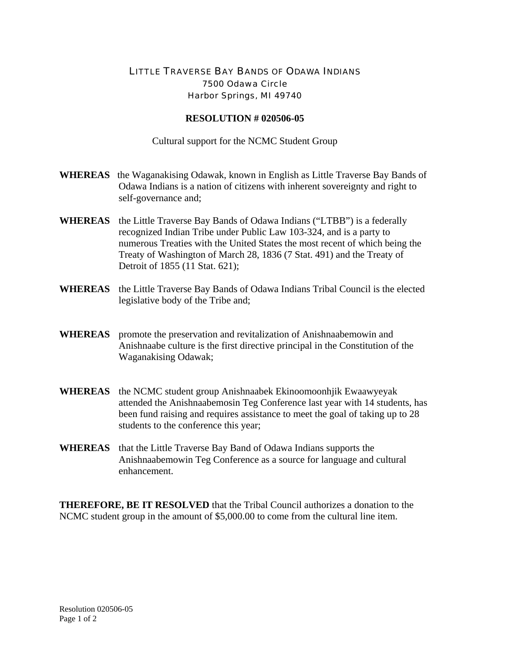## LITTLE TRAVERSE BAY BANDS OF ODAWA INDIANS 7500 Odawa Circle Harbor Springs, MI 49740

## **RESOLUTION # 020506-05**

Cultural support for the NCMC Student Group

- **WHEREAS** the Waganakising Odawak, known in English as Little Traverse Bay Bands of Odawa Indians is a nation of citizens with inherent sovereignty and right to self-governance and;
- **WHEREAS** the Little Traverse Bay Bands of Odawa Indians ("LTBB") is a federally recognized Indian Tribe under Public Law 103-324, and is a party to numerous Treaties with the United States the most recent of which being the Treaty of Washington of March 28, 1836 (7 Stat. 491) and the Treaty of Detroit of 1855 (11 Stat. 621);
- **WHEREAS** the Little Traverse Bay Bands of Odawa Indians Tribal Council is the elected legislative body of the Tribe and;
- **WHEREAS** promote the preservation and revitalization of Anishnaabemowin and Anishnaabe culture is the first directive principal in the Constitution of the Waganakising Odawak;
- **WHEREAS** the NCMC student group Anishnaabek Ekinoomoonhjik Ewaawyeyak attended the Anishnaabemosin Teg Conference last year with 14 students, has been fund raising and requires assistance to meet the goal of taking up to 28 students to the conference this year;
- **WHEREAS** that the Little Traverse Bay Band of Odawa Indians supports the Anishnaabemowin Teg Conference as a source for language and cultural enhancement.

**THEREFORE, BE IT RESOLVED** that the Tribal Council authorizes a donation to the NCMC student group in the amount of \$5,000.00 to come from the cultural line item.